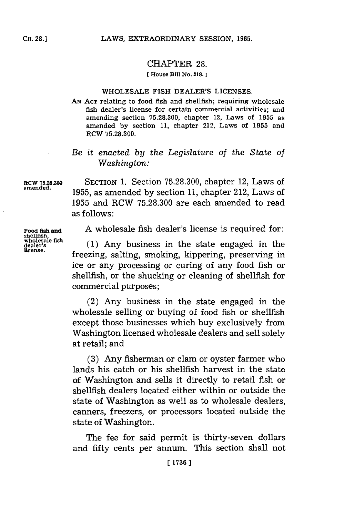## CHAPTER **28.**

### **[ House Bill No. 218. ]**

### **WHOLESALE** FISH DEALER'S **LICENSES.**

**AN. ACT** relating to food fish and shellfish; requiring wholesale fish dealer's license for certain commercial activities; and amending section **75.28.300,** chapter 12, Laws of **1955** as amended **by** section **11,** chapter 212, Laws of **1955** and RCW **75.28.300.**

# *Be it enacted by the Legislature of the State of Washington:*

**RCW 75.28.300** SECTION 1. Section 75.28.300, chapter 12, Laws of amended. 1955, as amended by section 11, chapter 212, Laws of **1955** and RCW **75.28.300** are each amended to read as follows:

**Food fish and A** wholesale fish dealer's license is required for:

wholesale han (1) Any business in the state engaged in the licese. freezing, salting, smoking, kippering, preserving in ice or any processing or curing of any food fish or shellfish, or the shucking or cleaning of shellfish for commercial purposes;

> (2) Any business in the state engaged in the wholesale selling or buying of food fish or shellfish except those businesses which buy exclusively from Washington licensed wholesale dealers and sell solely at retail; and

> **(3)** Any fisherman or clam or oyster farmer who lands his catch or his shellfish harvest in the state of Washington and sells it directly to retail fish or shellfish dealers located either within or outside the state of Washington as well as to wholesale dealers, canners, freezers, or processors located outside the state of Washington.

> The fee for said permit is thirty-seven dollars and fifty cents per annum. This section shall not